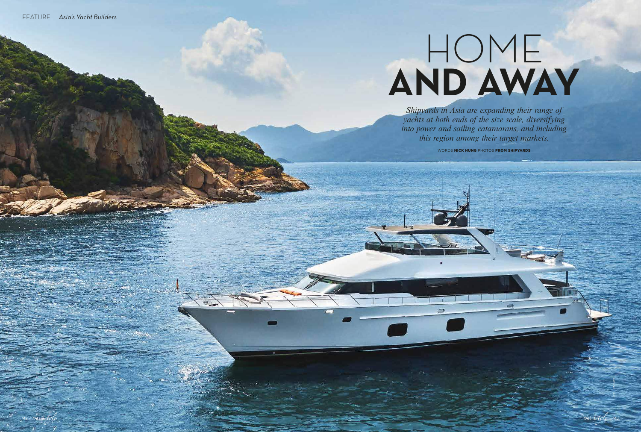*Shipyards in Asia are expanding their range of yachts at both ends of the size scale, diversifying into power and sailing catamarans, and including this region among their target markets.*

WORDS NICK HUNG PHOTOS FROM SHIPYARDS



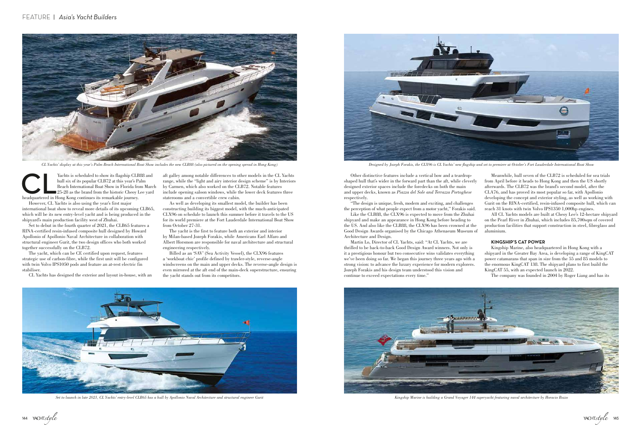However, CL Yachts is also using the year's first major international boat show to reveal more details of its upcoming CLB65, which will be its new entry-level yacht and is being produced in the shipyard's main production facility west of Zhuhai.

Set to debut in the fourth quarter of 2021, the CLB65 features a RINA-certified resin-infused composite hull designed by Howard Apollonio of Apollonio Naval Architecture in collaboration with structural engineer Gurit, the two design offices who both worked together successfully on the CLB72.

The yacht, which can be CE certified upon request, features strategic use of carbon-fibre, while the first unit will be configured with twin Volvo IPS1050 pods and feature an at-rest electric fin stabiliser.

CL Yachts has designed the exterior and layout in-house, with an

Other distinctive features include a vertical bow and a teardropshaped hull that's wider in the forward part than the aft, while cleverly designed exterior spaces include the foredecks on both the main and upper decks, known as *Piazza del Sole and Terrazza Portoghese*  respectively.

Architecture and Design.

Martin Lo, Director of CL Yachts, said: "At CL Yachts, we are thrilled to be back-to-back Good Design Award winners. Not only is it a prestigious honour but two consecutive wins validates everything we've been doing so far. We began this journey three years ago with a strong vision: to advance the luxury experience for modern explorers. Jozeph Forakis and his design team understood this vision and continue to exceed expectations every time."



aft galley among notable differences to other models in the CL Yachts range, while the "light and airy interior design scheme" is by Interiors by Carmen, which also worked on the CLB72. Notable features include opening saloon windows, while the lower deck features three staterooms and a convertible crew cabin.



CL Yachts' display at this year's Palm Beach International Boat Show includes the new CLB88 (also pictured on the opening spread in Hong Kong) Designed by Jozeph Forakis, the CLX96 is CL Yachts' new flagship and set to pre

Yachts is scheduled to show its flagship CLB88 and hull six of its popular CLB72 at this year's Palm Beach International Boat Show in Florida from Marc<br>25-28 as the brand from the historic Cheoy Lee yard headquartered in H hull six of its popular CLB72 at this year's Palm Beach International Boat Show in Florida from March 25-28 as the brand from the historic Cheoy Lee yard

As well as developing its smallest model, the builder has been constructing building its biggest model, with the much-anticipated CLX96 on schedule to launch this summer before it travels to the US for its world premiere at the Fort Lauderdale International Boat Show from October 27-31.

"The design is unique, fresh, modern and exciting, and challenges the perception of what people expect from a motor yacht," Forakis said. Like the CLB88, the CLX96 is expected to move from the Zhuhai shipyard and make an appearance in Hong Kong before heading to the US. And also like the CLB88, the CLX96 has been crowned at the Good Design Awards organised by the Chicago Athenaeum Museum of reach 31 knots with twin Volvo IPS1350 1,000hp engines. All CL Yachts models are built at Cheoy Lee's 12-hectare shipyard on the Pearl River in Zhuhai, which includes 85,700sqm of covered production facilities that support construction in steel, fibreglass and aluminium.

The yacht is the first to feature both an exterior and interior by Milan-based Jozeph Forakis, while Americans Earl Alfaro and Albert Horsmon are responsible for naval architecture and structural engineering respectively.

Billed as an 'SAV' (Sea Activity Vessel), the CLX96 features a 'workboat chic' profile defined by trawler-style, reverse-angle windscreens on the main and upper decks. The reverse-angle design is even mirrored at the aft end of the main-deck superstructure, ensuring the yacht stands out from its competitors.



Set to launch in late 2021, CL Yachts' entry-level CLB65 has a hull by Apollonio Naval Architecture and structural engineer Gurit Kingship Marine is building a Grand Voyager 144 superyacht featuring naval architecture by H



Meanwhile, hull seven of the CLB72 is scheduled for sea trials from April before it heads to Hong Kong and then the US shortly afterwards. The CLB72 was the brand's second model, after the CLA76, and has proved its most popular so far, with Apollonio developing the concept and exterior styling, as well as working with Gurit on the RINA-certified, resin-infused composite hull, which can

## **KINGSHIP'S CAT POWER**

Kingship Marine, also headquartered in Hong Kong with a shipyard in the Greater Bay Area, is developing a range of KingCAT power catamarans that span in size from the 55 and 85 models to the enormous KingCAT 138. The shipyard plans to first build the KingCAT 55, with an expected launch in 2022.

The company was founded in 2004 by Roger Liang and has its